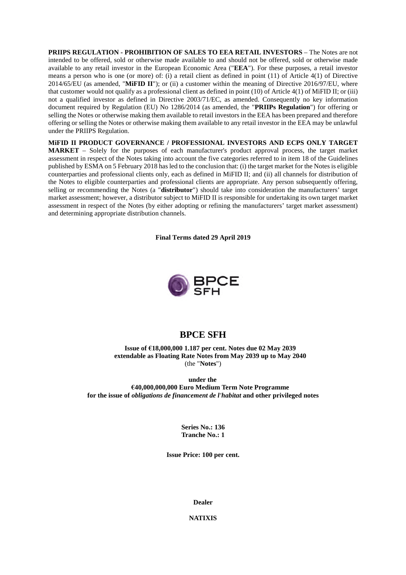**PRIIPS REGULATION - PROHIBITION OF SALES TO EEA RETAIL INVESTORS** – The Notes are not intended to be offered, sold or otherwise made available to and should not be offered, sold or otherwise made available to any retail investor in the European Economic Area ("**EEA**"). For these purposes, a retail investor means a person who is one (or more) of: (i) a retail client as defined in point (11) of Article 4(1) of Directive 2014/65/EU (as amended, "**MiFID II**"); or (ii) a customer within the meaning of Directive 2016/97/EU, where that customer would not qualify as a professional client as defined in point (10) of Article 4(1) of MiFID II; or (iii) not a qualified investor as defined in Directive 2003/71/EC, as amended. Consequently no key information document required by Regulation (EU) No 1286/2014 (as amended, the "**PRIIPs Regulation**") for offering or selling the Notes or otherwise making them available to retail investors in the EEA has been prepared and therefore offering or selling the Notes or otherwise making them available to any retail investor in the EEA may be unlawful under the PRIIPS Regulation.

**MiFID II PRODUCT GOVERNANCE / PROFESSIONAL INVESTORS AND ECPS ONLY TARGET MARKET** – Solely for the purposes of each manufacturer's product approval process, the target market assessment in respect of the Notes taking into account the five categories referred to in item 18 of the Guidelines published by ESMA on 5 February 2018 has led to the conclusion that: (i) the target market for the Notes is eligible counterparties and professional clients only, each as defined in MiFID II; and (ii) all channels for distribution of the Notes to eligible counterparties and professional clients are appropriate. Any person subsequently offering, selling or recommending the Notes (a "**distributor**") should take into consideration the manufacturers' target market assessment; however, a distributor subject to MiFID II is responsible for undertaking its own target market assessment in respect of the Notes (by either adopting or refining the manufacturers' target market assessment) and determining appropriate distribution channels.

**Final Terms dated 29 April 2019**



# **BPCE SFH**

**Issue of €18,000,000 1.187 per cent. Notes due 02 May 2039 extendable as Floating Rate Notes from May 2039 up to May 2040** (the "**Notes**")

**under the €40,000,000,000 Euro Medium Term Note Programme for the issue of** *obligations de financement de l'habitat* **and other privileged notes**

> **Series No.: 136 Tranche No.: 1**

**Issue Price: 100 per cent.**

**Dealer**

**NATIXIS**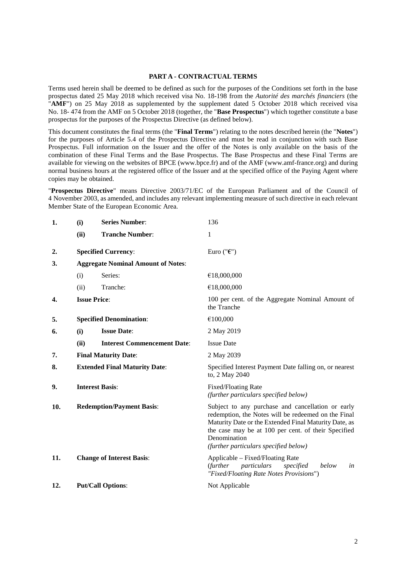#### **PART A - CONTRACTUAL TERMS**

Terms used herein shall be deemed to be defined as such for the purposes of the Conditions set forth in the base prospectus dated 25 May 2018 which received visa No. 18-198 from the *Autorité des marchés financiers* (the "AMF") on 25 May 2018 as supplemented by the supplement dated 5 October 2018 which received visa No. 18- 474 from the AMF on 5 October 2018 (together, the "**Base Prospectus**") which together constitute a base prospectus for the purposes of the Prospectus Directive (as defined below).

This document constitutes the final terms (the "**Final Terms**") relating to the notes described herein (the "**Notes**") for the purposes of Article 5.4 of the Prospectus Directive and must be read in conjunction with such Base Prospectus. Full information on the Issuer and the offer of the Notes is only available on the basis of the combination of these Final Terms and the Base Prospectus. The Base Prospectus and these Final Terms are available for viewing on the websites of BPCE (www.bpce.fr) and of the AMF (www.amf-france.org) and during normal business hours at the registered office of the Issuer and at the specified office of the Paying Agent where copies may be obtained.

"**Prospectus Directive**" means Directive 2003/71/EC of the European Parliament and of the Council of 4 November 2003, as amended, and includes any relevant implementing measure of such directive in each relevant Member State of the European Economic Area.

| 1.  | (i)                                       | <b>Series Number:</b>                | 136                                                                                                                                                                                                                                                                               |  |
|-----|-------------------------------------------|--------------------------------------|-----------------------------------------------------------------------------------------------------------------------------------------------------------------------------------------------------------------------------------------------------------------------------------|--|
|     | (ii)                                      | <b>Tranche Number:</b>               | 1                                                                                                                                                                                                                                                                                 |  |
| 2.  |                                           | <b>Specified Currency:</b>           | Euro (" $\epsilon$ ")                                                                                                                                                                                                                                                             |  |
| 3.  | <b>Aggregate Nominal Amount of Notes:</b> |                                      |                                                                                                                                                                                                                                                                                   |  |
|     | (i)                                       | Series:                              | €18,000,000                                                                                                                                                                                                                                                                       |  |
|     | (ii)                                      | Tranche:                             | €18,000,000                                                                                                                                                                                                                                                                       |  |
| 4.  | <b>Issue Price:</b>                       |                                      | 100 per cent. of the Aggregate Nominal Amount of<br>the Tranche                                                                                                                                                                                                                   |  |
| 5.  | <b>Specified Denomination:</b>            |                                      | €100,000                                                                                                                                                                                                                                                                          |  |
| 6.  | (i)                                       | <b>Issue Date:</b>                   | 2 May 2019                                                                                                                                                                                                                                                                        |  |
|     | (ii)                                      | <b>Interest Commencement Date:</b>   | <b>Issue Date</b>                                                                                                                                                                                                                                                                 |  |
| 7.  | <b>Final Maturity Date:</b>               |                                      | 2 May 2039                                                                                                                                                                                                                                                                        |  |
| 8.  |                                           | <b>Extended Final Maturity Date:</b> | Specified Interest Payment Date falling on, or nearest<br>to, 2 May 2040                                                                                                                                                                                                          |  |
| 9.  | <b>Interest Basis:</b>                    |                                      | <b>Fixed/Floating Rate</b><br>(further particulars specified below)                                                                                                                                                                                                               |  |
| 10. | <b>Redemption/Payment Basis:</b>          |                                      | Subject to any purchase and cancellation or early<br>redemption, the Notes will be redeemed on the Final<br>Maturity Date or the Extended Final Maturity Date, as<br>the case may be at 100 per cent. of their Specified<br>Denomination<br>(further particulars specified below) |  |
| 11. |                                           | <b>Change of Interest Basis:</b>     | Applicable - Fixed/Floating Rate<br>(further<br>particulars<br>specified<br>below<br>in<br>"Fixed/Floating Rate Notes Provisions")                                                                                                                                                |  |
| 12. |                                           | <b>Put/Call Options:</b>             | Not Applicable                                                                                                                                                                                                                                                                    |  |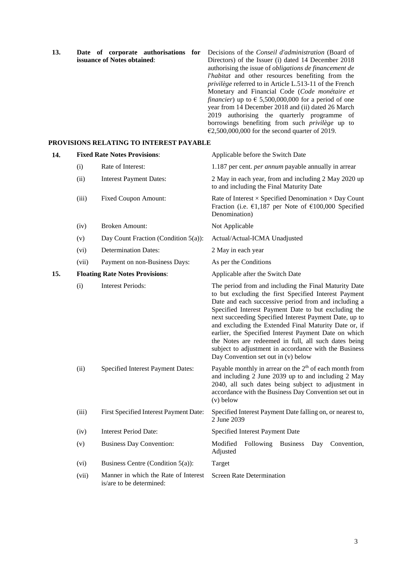| 13.                         | Date of corporate authorisations for    | Decisions of the <i>Conseil d'administration</i> (Board of            |
|-----------------------------|-----------------------------------------|-----------------------------------------------------------------------|
| issuance of Notes obtained: |                                         | Directors) of the Issuer (i) dated 14 December 2018                   |
|                             |                                         | authorising the issue of <i>obligations de financement de</i>         |
|                             |                                         | l'habitat and other resources benefiting from the                     |
|                             |                                         | privilège referred to in Article L.513-11 of the French               |
|                             |                                         | Monetary and Financial Code (Code monétaire et                        |
|                             |                                         | <i>financier</i> ) up to $\epsilon$ 5,500,000,000 for a period of one |
|                             |                                         | year from 14 December 2018 and (ii) dated 26 March                    |
|                             |                                         | 2019 authorising the quarterly programme of                           |
|                             |                                         | borrowings benefiting from such <i>privilège</i> up to                |
|                             |                                         | $\text{\textsterling}2,500,000,000$ for the second quarter of 2019.   |
|                             | PROVISIONS RELATING TO INTEREST PAYABLE |                                                                       |
| 14.                         | <b>Fixed Rate Notes Provisions:</b>     | Applicable before the Switch Date                                     |

| 14. |       | <b>Fixed Rate Notes Provisions:</b>                              | Applicable before the Switch Date                                                                                                                                                                                                                                                                                                                                                                                                                                                                                                                                  |
|-----|-------|------------------------------------------------------------------|--------------------------------------------------------------------------------------------------------------------------------------------------------------------------------------------------------------------------------------------------------------------------------------------------------------------------------------------------------------------------------------------------------------------------------------------------------------------------------------------------------------------------------------------------------------------|
|     | (i)   | Rate of Interest:                                                | 1.187 per cent. <i>per annum</i> payable annually in arrear                                                                                                                                                                                                                                                                                                                                                                                                                                                                                                        |
|     | (ii)  | <b>Interest Payment Dates:</b>                                   | 2 May in each year, from and including 2 May 2020 up<br>to and including the Final Maturity Date                                                                                                                                                                                                                                                                                                                                                                                                                                                                   |
|     | (iii) | <b>Fixed Coupon Amount:</b>                                      | Rate of Interest $\times$ Specified Denomination $\times$ Day Count<br>Fraction (i.e. $\epsilon$ 1,187 per Note of $\epsilon$ 100,000 Specified<br>Denomination)                                                                                                                                                                                                                                                                                                                                                                                                   |
|     | (iv)  | <b>Broken Amount:</b>                                            | Not Applicable                                                                                                                                                                                                                                                                                                                                                                                                                                                                                                                                                     |
|     | (v)   | Day Count Fraction (Condition $5(a)$ ):                          | Actual/Actual-ICMA Unadjusted                                                                                                                                                                                                                                                                                                                                                                                                                                                                                                                                      |
|     | (vi)  | <b>Determination Dates:</b>                                      | 2 May in each year                                                                                                                                                                                                                                                                                                                                                                                                                                                                                                                                                 |
|     | (vii) | Payment on non-Business Days:                                    | As per the Conditions                                                                                                                                                                                                                                                                                                                                                                                                                                                                                                                                              |
| 15. |       | <b>Floating Rate Notes Provisions:</b>                           | Applicable after the Switch Date                                                                                                                                                                                                                                                                                                                                                                                                                                                                                                                                   |
|     | (i)   | <b>Interest Periods:</b>                                         | The period from and including the Final Maturity Date<br>to but excluding the first Specified Interest Payment<br>Date and each successive period from and including a<br>Specified Interest Payment Date to but excluding the<br>next succeeding Specified Interest Payment Date, up to<br>and excluding the Extended Final Maturity Date or, if<br>earlier, the Specified Interest Payment Date on which<br>the Notes are redeemed in full, all such dates being<br>subject to adjustment in accordance with the Business<br>Day Convention set out in (v) below |
|     | (ii)  | Specified Interest Payment Dates:                                | Payable monthly in arrear on the $2th$ of each month from<br>and including 2 June 2039 up to and including 2 May<br>2040, all such dates being subject to adjustment in<br>accordance with the Business Day Convention set out in<br>$(v)$ below                                                                                                                                                                                                                                                                                                                   |
|     | (iii) | First Specified Interest Payment Date:                           | Specified Interest Payment Date falling on, or nearest to,<br>2 June 2039                                                                                                                                                                                                                                                                                                                                                                                                                                                                                          |
|     | (iv)  | <b>Interest Period Date:</b>                                     | Specified Interest Payment Date                                                                                                                                                                                                                                                                                                                                                                                                                                                                                                                                    |
|     | (v)   | <b>Business Day Convention:</b>                                  | Modified<br>Following<br><b>Business</b><br>Convention,<br>Day<br>Adjusted                                                                                                                                                                                                                                                                                                                                                                                                                                                                                         |
|     | (vi)  | Business Centre (Condition $5(a)$ ):                             | Target                                                                                                                                                                                                                                                                                                                                                                                                                                                                                                                                                             |
|     | (vii) | Manner in which the Rate of Interest<br>is/are to be determined: | <b>Screen Rate Determination</b>                                                                                                                                                                                                                                                                                                                                                                                                                                                                                                                                   |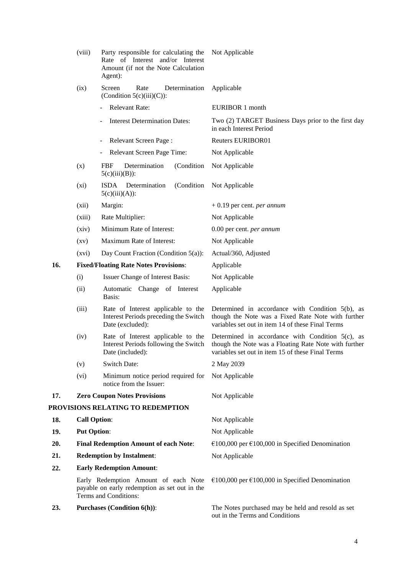|     | (viii)                                       | Party responsible for calculating the<br>Rate of Interest and/or Interest<br>Amount (if not the Note Calculation<br>Agent): | Not Applicable                                                                                                                                                    |
|-----|----------------------------------------------|-----------------------------------------------------------------------------------------------------------------------------|-------------------------------------------------------------------------------------------------------------------------------------------------------------------|
|     | (ix)                                         | Screen<br>Rate<br>Determination<br>(Condition $5(c)(iii)(C)$ ):                                                             | Applicable                                                                                                                                                        |
|     |                                              | Relevant Rate:                                                                                                              | EURIBOR 1 month                                                                                                                                                   |
|     |                                              | <b>Interest Determination Dates:</b>                                                                                        | Two (2) TARGET Business Days prior to the first day<br>in each Interest Period                                                                                    |
|     |                                              | Relevant Screen Page:<br>$\overline{\phantom{0}}$                                                                           | <b>Reuters EURIBOR01</b>                                                                                                                                          |
|     |                                              | Relevant Screen Page Time:                                                                                                  | Not Applicable                                                                                                                                                    |
|     | (x)                                          | (Condition<br>FBF<br>Determination<br>$5(c)(iii)(B))$ :                                                                     | Not Applicable                                                                                                                                                    |
|     | $(x_i)$                                      | <b>ISDA</b><br>Determination<br>(Condition<br>$5(c)(iii)(A))$ :                                                             | Not Applicable                                                                                                                                                    |
|     | (xii)                                        | Margin:                                                                                                                     | $+0.19$ per cent. <i>per annum</i>                                                                                                                                |
|     | (xiii)                                       | Rate Multiplier:                                                                                                            | Not Applicable                                                                                                                                                    |
|     | (xiv)                                        | Minimum Rate of Interest:                                                                                                   | 0.00 per cent. per annum                                                                                                                                          |
|     | $\left( xy\right)$                           | Maximum Rate of Interest:                                                                                                   | Not Applicable                                                                                                                                                    |
|     | (xvi)                                        | Day Count Fraction (Condition $5(a)$ ):                                                                                     | Actual/360, Adjusted                                                                                                                                              |
| 16. |                                              | <b>Fixed/Floating Rate Notes Provisions:</b>                                                                                | Applicable                                                                                                                                                        |
|     | (i)                                          | Issuer Change of Interest Basis:                                                                                            | Not Applicable                                                                                                                                                    |
|     | (ii)                                         | Automatic Change of Interest<br>Basis:                                                                                      | Applicable                                                                                                                                                        |
|     | (iii)                                        | Rate of Interest applicable to the<br>Interest Periods preceding the Switch<br>Date (excluded):                             | Determined in accordance with Condition 5(b), as<br>though the Note was a Fixed Rate Note with further<br>variables set out in item 14 of these Final Terms       |
|     | (iv)                                         | Rate of Interest applicable to the<br>Interest Periods following the Switch<br>Date (included):                             | Determined in accordance with Condition $5(c)$ , as<br>though the Note was a Floating Rate Note with further<br>variables set out in item 15 of these Final Terms |
|     | (v)                                          | <b>Switch Date:</b>                                                                                                         | 2 May 2039                                                                                                                                                        |
|     | (vi)                                         | Minimum notice period required for<br>notice from the Issuer:                                                               | Not Applicable                                                                                                                                                    |
| 17. |                                              | <b>Zero Coupon Notes Provisions</b>                                                                                         | Not Applicable                                                                                                                                                    |
|     |                                              | PROVISIONS RELATING TO REDEMPTION                                                                                           |                                                                                                                                                                   |
| 18. | <b>Call Option:</b>                          |                                                                                                                             | Not Applicable                                                                                                                                                    |
| 19. | <b>Put Option:</b>                           |                                                                                                                             | Not Applicable                                                                                                                                                    |
| 20. | <b>Final Redemption Amount of each Note:</b> |                                                                                                                             | €100,000 per €100,000 in Specified Denomination                                                                                                                   |
| 21. | <b>Redemption by Instalment:</b>             |                                                                                                                             | Not Applicable                                                                                                                                                    |
| 22. | <b>Early Redemption Amount:</b>              |                                                                                                                             |                                                                                                                                                                   |
|     |                                              | Early Redemption Amount of each Note<br>payable on early redemption as set out in the<br>Terms and Conditions:              | €100,000 per €100,000 in Specified Denomination                                                                                                                   |
| 23. |                                              | <b>Purchases (Condition 6(h)):</b>                                                                                          | The Notes purchased may be held and resold as set<br>out in the Terms and Conditions                                                                              |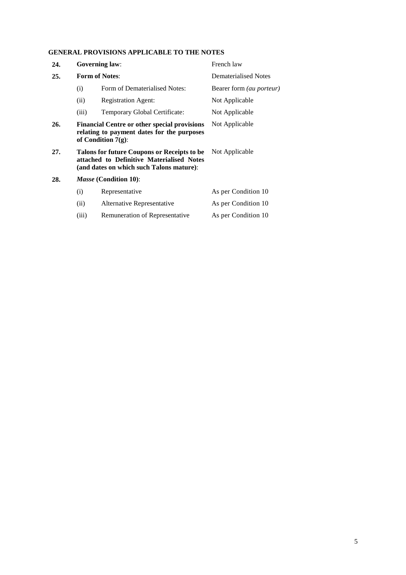### **GENERAL PROVISIONS APPLICABLE TO THE NOTES**

| 24. | <b>Governing law:</b>                                                                                                                                  |                                | French law                      |
|-----|--------------------------------------------------------------------------------------------------------------------------------------------------------|--------------------------------|---------------------------------|
| 25. |                                                                                                                                                        | <b>Form of Notes:</b>          | Dematerialised Notes            |
|     | Form of Dematerialised Notes:<br>(i)                                                                                                                   |                                | Bearer form <i>(au porteur)</i> |
|     | (ii)                                                                                                                                                   | <b>Registration Agent:</b>     | Not Applicable                  |
|     | (iii)                                                                                                                                                  | Temporary Global Certificate:  | Not Applicable                  |
| 26. | <b>Financial Centre or other special provisions</b><br>Not Applicable<br>relating to payment dates for the purposes<br>of Condition $7(g)$ :           |                                |                                 |
| 27. | Not Applicable<br>Talons for future Coupons or Receipts to be<br>attached to Definitive Materialised Notes<br>(and dates on which such Talons mature): |                                |                                 |
| 28. |                                                                                                                                                        | <i>Masse</i> (Condition 10):   |                                 |
|     | (i)                                                                                                                                                    | Representative                 | As per Condition 10             |
|     | (ii)                                                                                                                                                   | Alternative Representative     | As per Condition 10             |
|     | (iii)                                                                                                                                                  | Remuneration of Representative | As per Condition 10             |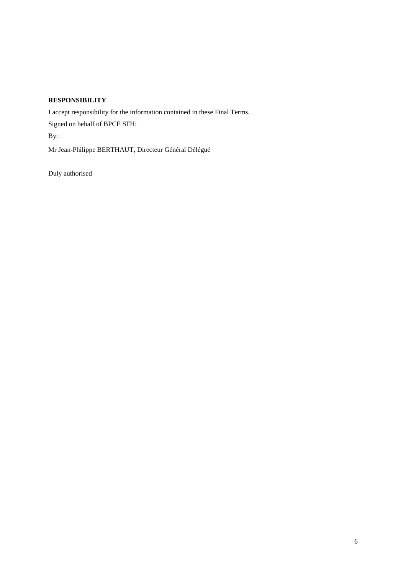### **RESPONSIBILITY**

I accept responsibility for the information contained in these Final Terms. Signed on behalf of BPCE SFH: By: Mr Jean-Philippe BERTHAUT, Directeur Général Délégué

Duly authorised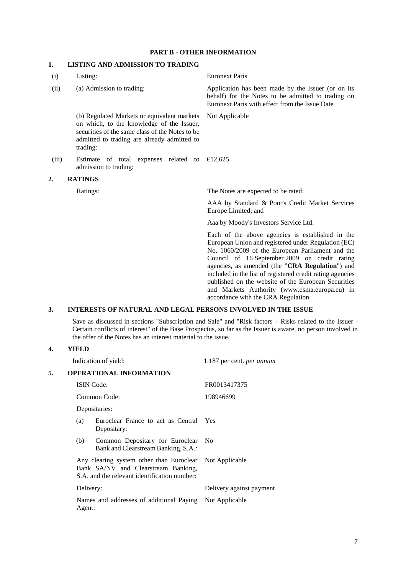### **PART B - OTHER INFORMATION**

### **1. LISTING AND ADMISSION TO TRADING**

| (i)   | Listing:                                                                                                                                                                                               | <b>Euronext Paris</b>                                                                                                                                                                                                                                                                                                                                                                                                                                                      |
|-------|--------------------------------------------------------------------------------------------------------------------------------------------------------------------------------------------------------|----------------------------------------------------------------------------------------------------------------------------------------------------------------------------------------------------------------------------------------------------------------------------------------------------------------------------------------------------------------------------------------------------------------------------------------------------------------------------|
| (ii)  | (a) Admission to trading:                                                                                                                                                                              | Application has been made by the Issuer (or on its<br>behalf) for the Notes to be admitted to trading on<br>Euronext Paris with effect from the Issue Date                                                                                                                                                                                                                                                                                                                 |
|       | (b) Regulated Markets or equivalent markets<br>on which, to the knowledge of the Issuer,<br>securities of the same class of the Notes to be<br>admitted to trading are already admitted to<br>trading: | Not Applicable                                                                                                                                                                                                                                                                                                                                                                                                                                                             |
| (iii) | Estimate of total expenses related to $£12,625$<br>admission to trading:                                                                                                                               |                                                                                                                                                                                                                                                                                                                                                                                                                                                                            |
| 2.    | <b>RATINGS</b>                                                                                                                                                                                         |                                                                                                                                                                                                                                                                                                                                                                                                                                                                            |
|       | Ratings:                                                                                                                                                                                               | The Notes are expected to be rated:                                                                                                                                                                                                                                                                                                                                                                                                                                        |
|       |                                                                                                                                                                                                        | AAA by Standard & Poor's Credit Market Services<br>Europe Limited; and                                                                                                                                                                                                                                                                                                                                                                                                     |
|       |                                                                                                                                                                                                        | Aaa by Moody's Investors Service Ltd.                                                                                                                                                                                                                                                                                                                                                                                                                                      |
|       |                                                                                                                                                                                                        | Each of the above agencies is established in the<br>European Union and registered under Regulation (EC)<br>No. 1060/2009 of the European Parliament and the<br>Council of 16 September 2009 on credit rating<br>agencies, as amended (the "CRA Regulation") and<br>included in the list of registered credit rating agencies<br>published on the website of the European Securities<br>and Markets Authority (www.esma.europa.eu) in<br>accordance with the CRA Regulation |
| 2     | INTEDECTC OF NATUDAL AND LECAL DEDCONG INVOLVED IN THE ICCUP                                                                                                                                           |                                                                                                                                                                                                                                                                                                                                                                                                                                                                            |

### **3. INTERESTS OF NATURAL AND LEGAL PERSONS INVOLVED IN THE ISSUE**

Save as discussed in sections "Subscription and Sale" and "Risk factors – Risks related to the Issuer - Certain conflicts of interest" of the Base Prospectus, so far as the Issuer is aware, no person involved in the offer of the Notes has an interest material to the issue.

## **4. YIELD**

|    |                                                                   | Indication of yield:                                                                                                                           | 1.187 per cent. per annum |
|----|-------------------------------------------------------------------|------------------------------------------------------------------------------------------------------------------------------------------------|---------------------------|
| 5. |                                                                   | <b>OPERATIONAL INFORMATION</b>                                                                                                                 |                           |
|    |                                                                   | <b>ISIN</b> Code:                                                                                                                              | FR0013417375              |
|    | Common Code:                                                      |                                                                                                                                                | 198946699                 |
|    |                                                                   | Depositaries:                                                                                                                                  |                           |
|    | (a)                                                               | Euroclear France to act as Central Yes<br>Depositary:                                                                                          |                           |
|    | (b)                                                               | Common Depositary for Euroclear<br>Bank and Clearstream Banking, S.A.:                                                                         | - No                      |
|    |                                                                   | Any clearing system other than Euroclear Not Applicable<br>Bank SA/NV and Clearstream Banking,<br>S.A. and the relevant identification number: |                           |
|    | Delivery:                                                         |                                                                                                                                                | Delivery against payment  |
|    | Names and addresses of additional Paying Not Applicable<br>Agent: |                                                                                                                                                |                           |